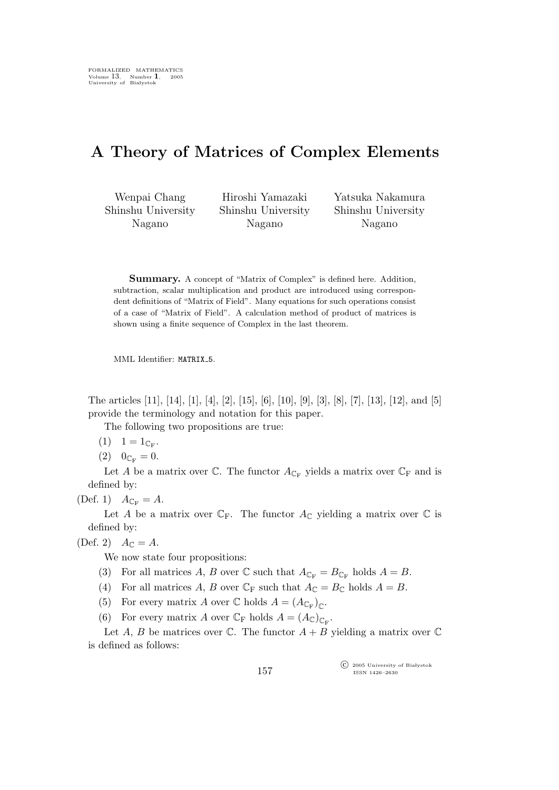## A Theory of Matrices of Complex Elements

Wenpai Chang Shinshu University Nagano

Hiroshi Yamazaki Shinshu University Nagano

Yatsuka Nakamura Shinshu University Nagano

Summary. A concept of "Matrix of Complex" is defined here. Addition, subtraction, scalar multiplication and product are introduced using correspondent definitions of "Matrix of Field". Many equations for such operations consist of a case of "Matrix of Field". A calculation method of product of matrices is shown using a finite sequence of Complex in the last theorem.

MML Identifier: MATRIX<sub>-5</sub>.

The articles [11], [14], [1], [4], [2], [15], [6], [10], [9], [3], [8], [7], [13], [12], and [5] provide the terminology and notation for this paper.

The following two propositions are true:

- $(1) \quad 1 = 1_{\mathbb{C}_{\mathrm{F}}}.$
- $(2)$   $0_{\mathbb{C}_{\mathbf{F}}} = 0.$

Let A be a matrix over  $\mathbb{C}$ . The functor  $A_{\mathbb{C}_{\mathrm{F}}}$  yields a matrix over  $\mathbb{C}_{\mathrm{F}}$  and is defined by:

(Def. 1)  $A_{\mathbb{C}_F} = A$ .

Let A be a matrix over  $\mathbb{C}_F$ . The functor  $A_{\mathbb{C}}$  yielding a matrix over  $\mathbb{C}$  is defined by:

(Def. 2)  $A_{\mathbb{C}} = A$ .

We now state four propositions:

(3) For all matrices A, B over  $\mathbb C$  such that  $A_{\mathbb C_F} = B_{\mathbb C_F}$  holds  $A = B$ .

- (4) For all matrices A, B over  $\mathbb{C}_F$  such that  $A_{\mathbb{C}} = B_{\mathbb{C}}$  holds  $A = B$ .
- (5) For every matrix A over  $\mathbb C$  holds  $A = (A_{\mathbb C_F})_{\mathbb C}$ .
- (6) For every matrix A over  $\mathbb{C}_{\mathrm{F}}$  holds  $A = (A_{\mathbb{C}})_{\mathbb{C}_{\mathrm{F}}}$ .

Let A, B be matrices over  $\mathbb C$ . The functor  $A + B$  yielding a matrix over  $\mathbb C$ is defined as follows:

> $\widehat{\mathbb{C}}$  2005 University of Białystok ISSN 1426–2630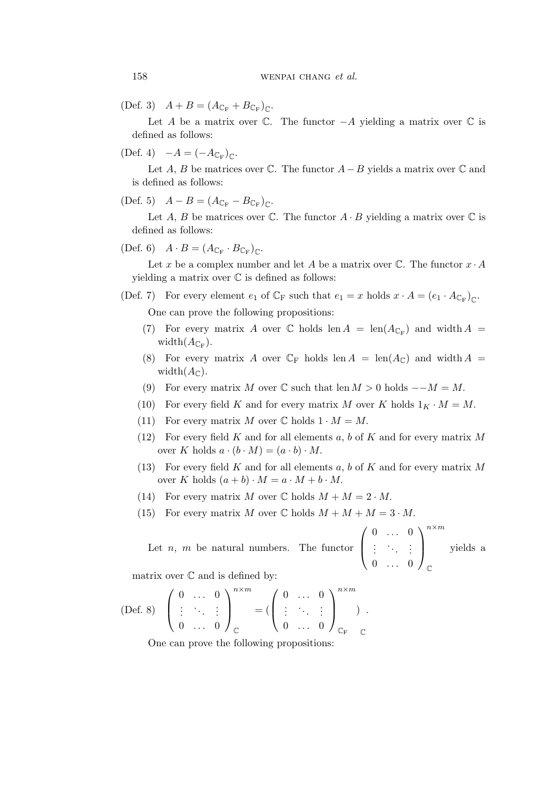(Def. 3)  $A + B = (A_{\mathbb{C}_F} + B_{\mathbb{C}_F})_{\mathbb{C}}$ .

Let A be a matrix over  $\mathbb C$ . The functor  $-A$  yielding a matrix over  $\mathbb C$  is defined as follows:

(Def. 4)  $-A = (-A_{\mathbb{C}_F})_{\mathbb{C}}$ .

Let A, B be matrices over  $\mathbb C$ . The functor  $A-B$  yields a matrix over  $\mathbb C$  and is defined as follows:

$$
(\text{Def. 5}) \quad A - B = (A_{\mathbb{C}_{\mathbb{F}}} - B_{\mathbb{C}_{\mathbb{F}}})_{\mathbb{C}}.
$$

Let A, B be matrices over  $\mathbb C$ . The functor  $A \cdot B$  yielding a matrix over  $\mathbb C$  is defined as follows:

(Def. 6)  $A \cdot B = (A_{\mathbb{C}_F} \cdot B_{\mathbb{C}_F})_{\mathbb{C}}$ .

Let x be a complex number and let A be a matrix over  $\mathbb{C}$ . The functor  $x \cdot A$ yielding a matrix over  $\mathbb C$  is defined as follows:

(Def. 7) For every element  $e_1$  of  $\mathbb{C}_F$  such that  $e_1 = x$  holds  $x \cdot A = (e_1 \cdot A_{\mathbb{C}_F})_{\mathbb{C}}$ .

One can prove the following propositions:

- (7) For every matrix A over  $\mathbb C$  holds len  $A = \text{len}(A_{\mathbb C_F})$  and width  $A =$ width $(A_{\mathbb{C}_{\mathrm{F}}}).$
- (8) For every matrix A over  $\mathbb{C}_{\mathbb{F}}$  holds len  $A = \text{len}(A_{\mathbb{C}})$  and width  $A =$ width $(A_{\mathbb{C}})$ .
- (9) For every matrix M over  $\mathbb C$  such that len  $M > 0$  holds  $M = M$ .
- (10) For every field K and for every matrix M over K holds  $1_K \cdot M = M$ .
- (11) For every matrix M over  $\mathbb C$  holds  $1 \cdot M = M$ .
- (12) For every field K and for all elements  $a, b$  of K and for every matrix M over K holds  $a \cdot (b \cdot M) = (a \cdot b) \cdot M$ .
- (13) For every field  $K$  and for all elements  $a, b$  of  $K$  and for every matrix  $M$ over K holds  $(a + b) \cdot M = a \cdot M + b \cdot M$ .
- (14) For every matrix M over C holds  $M + M = 2 \cdot M$ .
- (15) For every matrix M over  $\mathbb C$  holds  $M + M + M = 3 \cdot M$ .

Let  $n, m$  be natural numbers. The functor  $\sqrt{ }$  $\overline{\mathcal{L}}$  $0 \ldots 0$  $\left(\begin{array}{cc} \lambda_1 & 1 \end{array}\right)$  $0 \ldots 0$  $\setminus$  $\Big\}$  $n \times m$  $\mathbb{C}$ yields a

matrix over  $\mathbb C$  and is defined by:

$$
\text{(Def. 8)}\quad \left(\begin{array}{cccc} 0 & \ldots & 0 \\ \vdots & \ddots & \vdots \\ 0 & \ldots & 0 \end{array}\right)_{\mathbb{C}}^{n \times m} = \left(\left(\begin{array}{cccc} 0 & \ldots & 0 \\ \vdots & \ddots & \vdots \\ 0 & \ldots & 0 \end{array}\right)_{\mathbb{C}_{\mathrm{F}}}^{n \times m} \right)\;.
$$

One can prove the following propositions: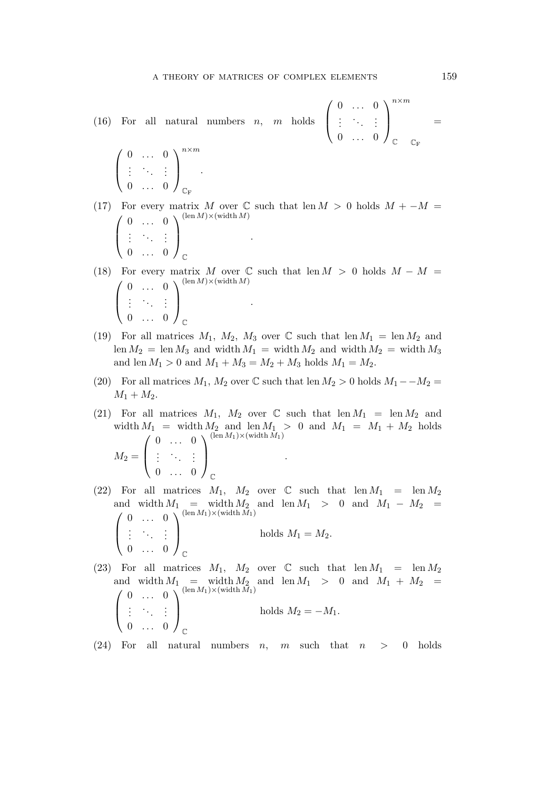$0 \ldots 0$ .<br>.<br>.<br>.  $0 \ldots 0$   $\setminus$ 

 $n \times m$ 

 $\mathbb{C}$   $\mathbb{C}_{\mathrm{F}}$ 

 $\Big\}$ 

(16) For all natural numbers  $n$ ,  $\sqrt{ }$  $\left\{ \right.$ 

 $\sqrt{ }$  $\overline{ }$  $0 \ldots 0$  $\left(\begin{array}{cc} \lambda_1 & 1 \end{array}\right)$  $0 \ldots 0$  $\setminus$  $\Big\}$  $n \times m$  $\mathbb{C}_{\text{F}}$ .

- (17) For every matrix M over C such that len  $M > 0$  holds  $M + -M =$  $\sqrt{ }$  $\overline{ }$  $0 \ldots 0$  $\left(\begin{array}{cc} \lambda_1 & 1 \end{array}\right)$  $0 \ldots 0$  $\setminus$  $\Big\}$  $(\text{len }M) \times (\text{width }M)$  $\mathbb{C}$ .
- (18) For every matrix M over C such that len  $M > 0$  holds  $M M =$  $\sqrt{ }$  $\left\lfloor \right\rfloor$  $0 \ldots 0$  $\left(\begin{array}{cc} \lambda_1 & 1 \end{array}\right)$  $0 \ldots 0$  $\setminus$  $\Big\}$  $(\text{len }M) \times (\text{width }M)$  $\mathbb{C}$ .
- (19) For all matrices  $M_1$ ,  $M_2$ ,  $M_3$  over  $\mathbb C$  such that len  $M_1 = \text{len }M_2$  and len  $M_2$  = len  $M_3$  and width  $M_1$  = width  $M_2$  and width  $M_2$  = width  $M_3$ and len  $M_1 > 0$  and  $M_1 + M_3 = M_2 + M_3$  holds  $M_1 = M_2$ .
- (20) For all matrices  $M_1$ ,  $M_2$  over  $\mathbb C$  such that len  $M_2 > 0$  holds  $M_1 M_2 =$  $M_1 + M_2$ .
- (21) For all matrices  $M_1$ ,  $M_2$  over  $\mathbb C$  such that len  $M_1 = \text{len }M_2$  and width  $M_1$  = width  $M_2$  and len  $M_1 > 0$  and  $M_1 = M_1 + M_2$  holds  $M_2 =$  $\sqrt{ }$  $\overline{\mathcal{L}}$  $0 \ldots 0$  $\left(\begin{array}{cc} \lambda_1 & 1 \end{array}\right)$  $0 \ldots 0$  $\setminus$  $\Big\}$  $\mathbb{C}$ .
- (22) For all matrices  $M_1$ ,  $M_2$  over C such that len  $M_1$  = len  $M_2$ and width  $M_1$  = width  $M_2$  and len  $M_1 > 0$  and  $M_1 - M_2 =$  $\sqrt{ }$  $\overline{ }$  $0 \ldots 0$  $\left(\begin{array}{cc} 1 & 1 \\ 1 & 1 \end{array}\right)$  $0 \ldots 0$  $\setminus$  $\Big\}$  $\mathbb{C}$ holds  $M_1 = M_2$ .
- (23) For all matrices  $M_1$ ,  $M_2$  over C such that len  $M_1$  = len  $M_2$ and width  $M_1$  = width  $M_2$  and len  $M_1 > 0$  and  $M_1 + M_2 =$  $\sqrt{ }$  $\overline{ }$  $0 \ldots 0$  $\left(\begin{array}{cc} 1 & 1 \\ 1 & 1 \end{array}\right)$  $0 \ldots 0$  $\setminus$  $\Big\}$  $\mathbb{C}$ holds  $M_2 = -M_1$ .

(24) For all natural numbers n, m such that  $n > 0$  holds

=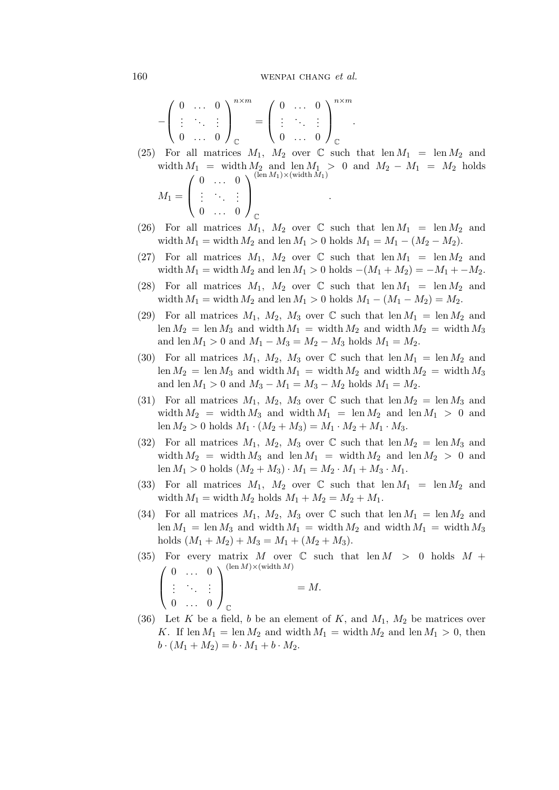160 wenpal change et al.

$$
-\left(\begin{array}{cccc} 0 & \ldots & 0 \\ \vdots & \ddots & \vdots \\ 0 & \ldots & 0 \end{array}\right)_{\mathbb{C}}^{n \times m} = \left(\begin{array}{cccc} 0 & \ldots & 0 \\ \vdots & \ddots & \vdots \\ 0 & \ldots & 0 \end{array}\right)_{\mathbb{C}}^{n \times m}.
$$

- (25) For all matrices  $M_1$ ,  $M_2$  over  $\mathbb C$  such that len  $M_1 = \text{len }M_2$  and width  $M_1$  = width  $M_2$  and len  $M_1 > 0$  and  $M_2 - M_1 = M_2$  holds  $M_1 =$  $\sqrt{ }$  $\overline{\mathcal{L}}$  $0 \ldots 0$  $\left(\begin{array}{cc} \lambda_1 & 1 \end{array}\right)$  $0 \ldots 0$  $\setminus$  $\Big\}$  $(\operatorname{len} M_1) \times (\operatorname{width} \overline{M}_1)$  $\mathbb{C}$ .
- (26) For all matrices  $M_1$ ,  $M_2$  over  $\mathbb C$  such that len  $M_1 = \text{len } M_2$  and width  $M_1 =$  width  $M_2$  and len  $M_1 > 0$  holds  $M_1 = M_1 - (M_2 - M_2)$ .
- (27) For all matrices  $M_1$ ,  $M_2$  over  $\mathbb C$  such that len  $M_1 = \text{len }M_2$  and width  $M_1 =$  width  $M_2$  and len  $M_1 > 0$  holds  $-(M_1 + M_2) = -M_1 + -M_2$ .
- (28) For all matrices  $M_1$ ,  $M_2$  over  $\mathbb C$  such that len  $M_1 = \text{len } M_2$  and width  $M_1 =$  width  $M_2$  and len  $M_1 > 0$  holds  $M_1 - (M_1 - M_2) = M_2$ .
- (29) For all matrices  $M_1$ ,  $M_2$ ,  $M_3$  over C such that len  $M_1 = \text{len } M_2$  and len  $M_2$  = len  $M_3$  and width  $M_1$  = width  $M_2$  and width  $M_2$  = width  $M_3$ and len  $M_1 > 0$  and  $M_1 - M_3 = M_2 - M_3$  holds  $M_1 = M_2$ .
- (30) For all matrices  $M_1$ ,  $M_2$ ,  $M_3$  over C such that len  $M_1 = \text{len } M_2$  and len  $M_2$  = len  $M_3$  and width  $M_1$  = width  $M_2$  and width  $M_2$  = width  $M_3$ and len  $M_1 > 0$  and  $M_3 - M_1 = M_3 - M_2$  holds  $M_1 = M_2$ .
- (31) For all matrices  $M_1$ ,  $M_2$ ,  $M_3$  over  $\mathbb C$  such that len  $M_2 = \text{len }M_3$  and width  $M_2$  = width  $M_3$  and width  $M_1$  = len  $M_2$  and len  $M_1 > 0$  and len  $M_2 > 0$  holds  $M_1 \cdot (M_2 + M_3) = M_1 \cdot M_2 + M_1 \cdot M_3$ .
- (32) For all matrices  $M_1$ ,  $M_2$ ,  $M_3$  over  $\mathbb C$  such that len  $M_2 = \text{len }M_3$  and width  $M_2$  = width  $M_3$  and len  $M_1$  = width  $M_2$  and len  $M_2 > 0$  and len  $M_1 > 0$  holds  $(M_2 + M_3) \cdot M_1 = M_2 \cdot M_1 + M_3 \cdot M_1$ .
- (33) For all matrices  $M_1$ ,  $M_2$  over  $\mathbb C$  such that len  $M_1 = \text{len }M_2$  and width  $M_1 =$  width  $M_2$  holds  $M_1 + M_2 = M_2 + M_1$ .
- (34) For all matrices  $M_1$ ,  $M_2$ ,  $M_3$  over  $\mathbb C$  such that len  $M_1 = \text{len }M_2$  and len  $M_1$  = len  $M_3$  and width  $M_1$  = width  $M_2$  and width  $M_1$  = width  $M_3$ holds  $(M_1 + M_2) + M_3 = M_1 + (M_2 + M_3).$
- (35) For every matrix M over C such that  $len M > 0$  holds  $M +$  $\sqrt{ }$  $\overline{ }$  $0 \ldots 0$  $\left(\begin{array}{cc} 1 & 1 \\ 1 & 1 \end{array}\right)$  $0 \ldots 0$  $\setminus$  $\Big\}$  $(\text{len }M) \times (\text{width }M)$  $\mathbb{C}$  $= M$ .
- (36) Let K be a field, b be an element of K, and  $M_1$ ,  $M_2$  be matrices over K. If len  $M_1 = \text{len } M_2$  and width  $M_1 = \text{width } M_2$  and len  $M_1 > 0$ , then  $b \cdot (M_1 + M_2) = b \cdot M_1 + b \cdot M_2.$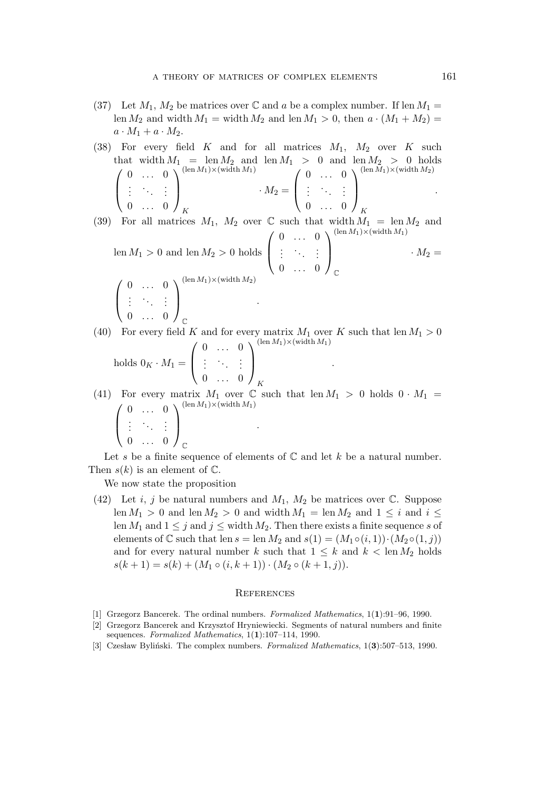- (37) Let  $M_1$ ,  $M_2$  be matrices over  $\mathbb C$  and a be a complex number. If len  $M_1 =$ len  $M_2$  and width  $M_1$  = width  $M_2$  and len  $M_1 > 0$ , then  $a \cdot (M_1 + M_2)$  =  $a \cdot M_1 + a \cdot M_2$ .
- (38) For every field K and for all matrices  $M_1$ ,  $M_2$  over K such that width  $M_1 = \text{len } M_2$  and len  $M_1 > 0$  and len  $M_2 > 0$  holds  $\sqrt{ }$  $\overline{ }$  $0 \ldots 0$  $\left(\begin{array}{cc} 1 & 1 \\ 1 & 1 \end{array}\right)$  $0 \ldots 0$  $\setminus$  $\Big\}$  $(\text{len }M_1) \times (\text{width }M_1)$ K  $\cdot M_2 =$  $\sqrt{ }$  $\overline{ }$  $0 \ldots 0$ .<br>.<br>.<br>.  $0 \ldots 0$  $\setminus$  $\Big\}$  $(\operatorname{len}\tilde{M}_1)\times(\operatorname{width}M_2)$ K .
- (39) For all matrices  $M_1$ ,  $M_2$  over  $\mathbb C$  such that width  $M_1 = \text{len } M_2$  and len  $M_1 > 0$  and len  $M_2 > 0$  holds  $\sqrt{ }$  $\overline{ }$  $0 \ldots 0$  $\left(\begin{array}{cc} \lambda_1 & 1 \end{array}\right)$  $0 \ldots 0$  $\setminus$  $\overline{\phantom{a}}$  $(\text{len }M_1)\times(\text{width }M_1)$  $\mathbb{C}$  $\cdot M_2 =$  $\sqrt{ }$  $\overline{ }$  $0 \ldots 0$  $\left(\begin{array}{cc} 1 & 1 \\ 1 & 1 \end{array}\right)$  $0 \ldots 0$  $\setminus$  $\Big\}$  $(\text{len }M_1)\times(\text{width }M_2)$ .
- (40) For every field K and for every matrix  $M_1$  over K such that len  $M_1 > 0$  $\sqrt{ }$  $0 \ldots 0$  $\setminus$  $(\text{len }M_1)\times(\text{width }M_1)$

.

holds  $0_K \cdot M_1 =$  $\overline{ }$ .<br>.<br>.<br>.  $0 \ldots 0$  $\Big\}$ K

 $\mathbb{C}$ 

(41) For every matrix  $M_1$  over  $\mathbb C$  such that len  $M_1 > 0$  holds  $0 \cdot M_1 =$  $\sqrt{ }$  $\overline{ }$  $0 \ldots 0$  $\left(\begin{array}{cc} \lambda_1 & 1 \end{array}\right)$  $0 \ldots 0$  $\setminus$  $\Big\}$  $(\text{len }M_1)\times(\text{width }M_1)$  $\mathbb{C}$ .

Let s be a finite sequence of elements of  $\mathbb C$  and let k be a natural number. Then  $s(k)$  is an element of  $\mathbb{C}$ .

We now state the proposition

(42) Let i, j be natural numbers and  $M_1$ ,  $M_2$  be matrices over  $\mathbb{C}$ . Suppose len  $M_1 > 0$  and len  $M_2 > 0$  and width  $M_1 = \text{len } M_2$  and  $1 \leq i$  and  $i \leq j$ len  $M_1$  and  $1 \leq j$  and  $j \leq$  width  $M_2$ . Then there exists a finite sequence s of elements of  $\mathbb C$  such that len  $s = \text{len } M_2$  and  $s(1) = (M_1 \circ (i, 1)) \cdot (M_2 \circ (1, j))$ and for every natural number k such that  $1 \leq k$  and  $k < \text{len } M_2$  holds  $s(k+1) = s(k) + (M_1 \circ (i, k+1)) \cdot (M_2 \circ (k+1, j)).$ 

## **REFERENCES**

- [1] Grzegorz Bancerek. The ordinal numbers. Formalized Mathematics, 1(1):91–96, 1990.
- [2] Grzegorz Bancerek and Krzysztof Hryniewiecki. Segments of natural numbers and finite sequences. Formalized Mathematics,  $1(1):107-114$ , 1990.
- [3] Czesław Byliński. The complex numbers. Formalized Mathematics, 1(3):507–513, 1990.